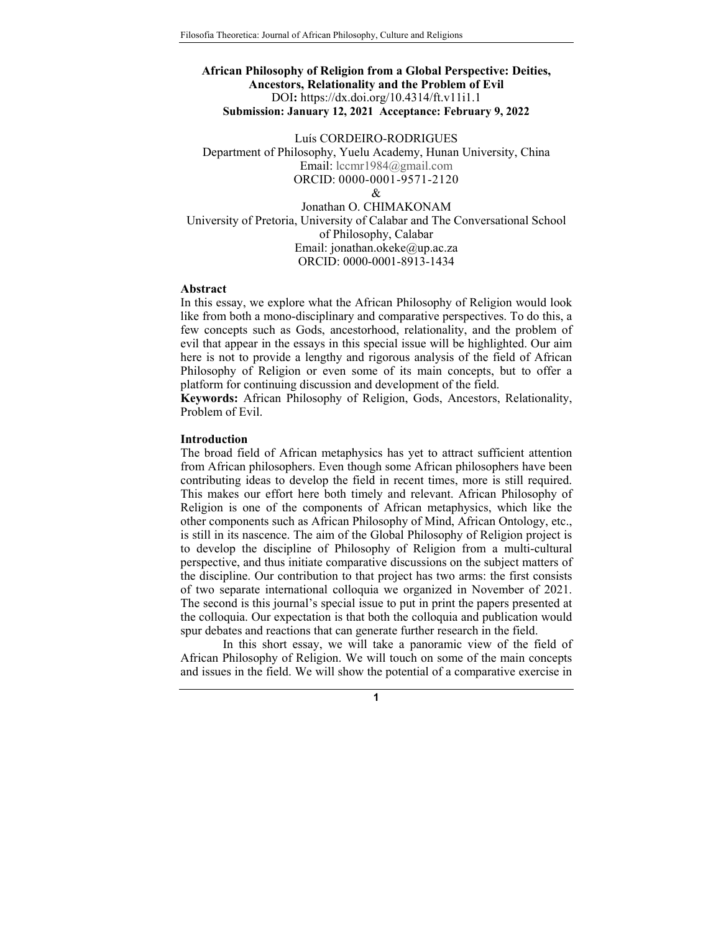# **African Philosophy of Religion from a Global Perspective: Deities, Ancestors, Relationality and the Problem of Evil**  DOI**:** https://dx.doi.org/10.4314/ft.v11i1.1 **Submission: January 12, 2021 Acceptance: February 9, 2022**

Luís CORDEIRO-RODRIGUES Department of Philosophy, Yuelu Academy, Hunan University, China Email: lccmr1984@gmail.com ORCID: 0000-0001-9571-2120  $\mathcal{R}$ 

Jonathan O. CHIMAKONAM University of Pretoria, University of Calabar and The Conversational School of Philosophy, Calabar Email: jonathan.okeke@up.ac.za ORCID: 0000-0001-8913-1434

#### **Abstract**

In this essay, we explore what the African Philosophy of Religion would look like from both a mono-disciplinary and comparative perspectives. To do this, a few concepts such as Gods, ancestorhood, relationality, and the problem of evil that appear in the essays in this special issue will be highlighted. Our aim here is not to provide a lengthy and rigorous analysis of the field of African Philosophy of Religion or even some of its main concepts, but to offer a platform for continuing discussion and development of the field.

**Keywords:** African Philosophy of Religion, Gods, Ancestors, Relationality, Problem of Evil.

# **Introduction**

The broad field of African metaphysics has yet to attract sufficient attention from African philosophers. Even though some African philosophers have been contributing ideas to develop the field in recent times, more is still required. This makes our effort here both timely and relevant. African Philosophy of Religion is one of the components of African metaphysics, which like the other components such as African Philosophy of Mind, African Ontology, etc., is still in its nascence. The aim of the Global Philosophy of Religion project is to develop the discipline of Philosophy of Religion from a multi-cultural perspective, and thus initiate comparative discussions on the subject matters of the discipline. Our contribution to that project has two arms: the first consists of two separate international colloquia we organized in November of 2021. The second is this journal's special issue to put in print the papers presented at the colloquia. Our expectation is that both the colloquia and publication would spur debates and reactions that can generate further research in the field.

 In this short essay, we will take a panoramic view of the field of African Philosophy of Religion. We will touch on some of the main concepts and issues in the field. We will show the potential of a comparative exercise in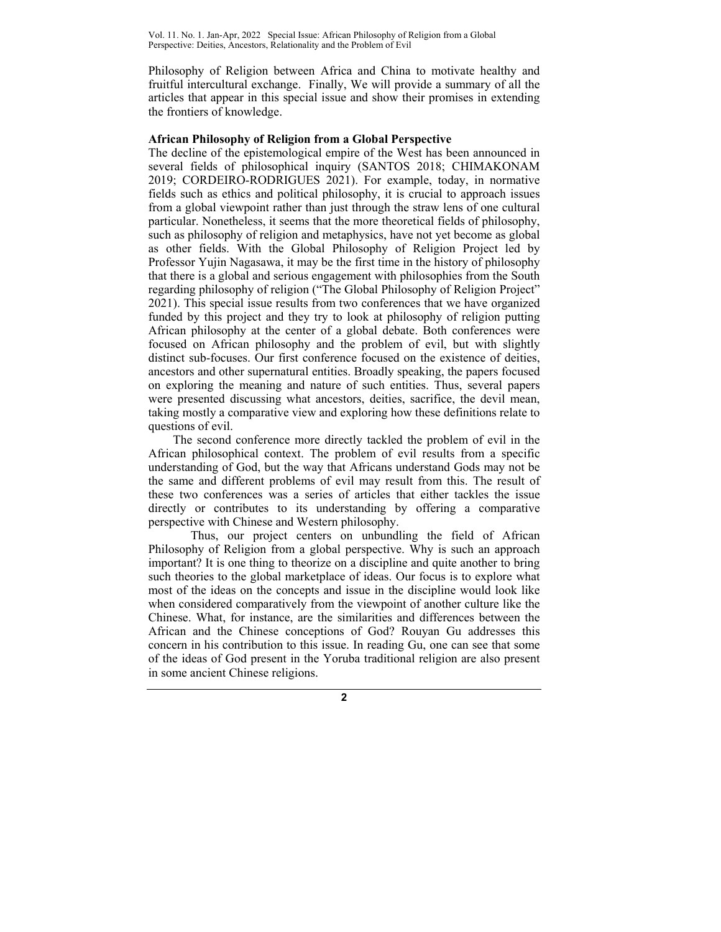Philosophy of Religion between Africa and China to motivate healthy and fruitful intercultural exchange. Finally, We will provide a summary of all the articles that appear in this special issue and show their promises in extending the frontiers of knowledge.

### **African Philosophy of Religion from a Global Perspective**

The decline of the epistemological empire of the West has been announced in several fields of philosophical inquiry (SANTOS 2018; CHIMAKONAM 2019; CORDEIRO-RODRIGUES 2021). For example, today, in normative fields such as ethics and political philosophy, it is crucial to approach issues from a global viewpoint rather than just through the straw lens of one cultural particular. Nonetheless, it seems that the more theoretical fields of philosophy, such as philosophy of religion and metaphysics, have not yet become as global as other fields. With the Global Philosophy of Religion Project led by Professor Yujin Nagasawa, it may be the first time in the history of philosophy that there is a global and serious engagement with philosophies from the South regarding philosophy of religion ("The Global Philosophy of Religion Project" 2021). This special issue results from two conferences that we have organized funded by this project and they try to look at philosophy of religion putting African philosophy at the center of a global debate. Both conferences were focused on African philosophy and the problem of evil, but with slightly distinct sub-focuses. Our first conference focused on the existence of deities, ancestors and other supernatural entities. Broadly speaking, the papers focused on exploring the meaning and nature of such entities. Thus, several papers were presented discussing what ancestors, deities, sacrifice, the devil mean, taking mostly a comparative view and exploring how these definitions relate to questions of evil.

The second conference more directly tackled the problem of evil in the African philosophical context. The problem of evil results from a specific understanding of God, but the way that Africans understand Gods may not be the same and different problems of evil may result from this. The result of these two conferences was a series of articles that either tackles the issue directly or contributes to its understanding by offering a comparative perspective with Chinese and Western philosophy.

 Thus, our project centers on unbundling the field of African Philosophy of Religion from a global perspective. Why is such an approach important? It is one thing to theorize on a discipline and quite another to bring such theories to the global marketplace of ideas. Our focus is to explore what most of the ideas on the concepts and issue in the discipline would look like when considered comparatively from the viewpoint of another culture like the Chinese. What, for instance, are the similarities and differences between the African and the Chinese conceptions of God? Rouyan Gu addresses this concern in his contribution to this issue. In reading Gu, one can see that some of the ideas of God present in the Yoruba traditional religion are also present in some ancient Chinese religions.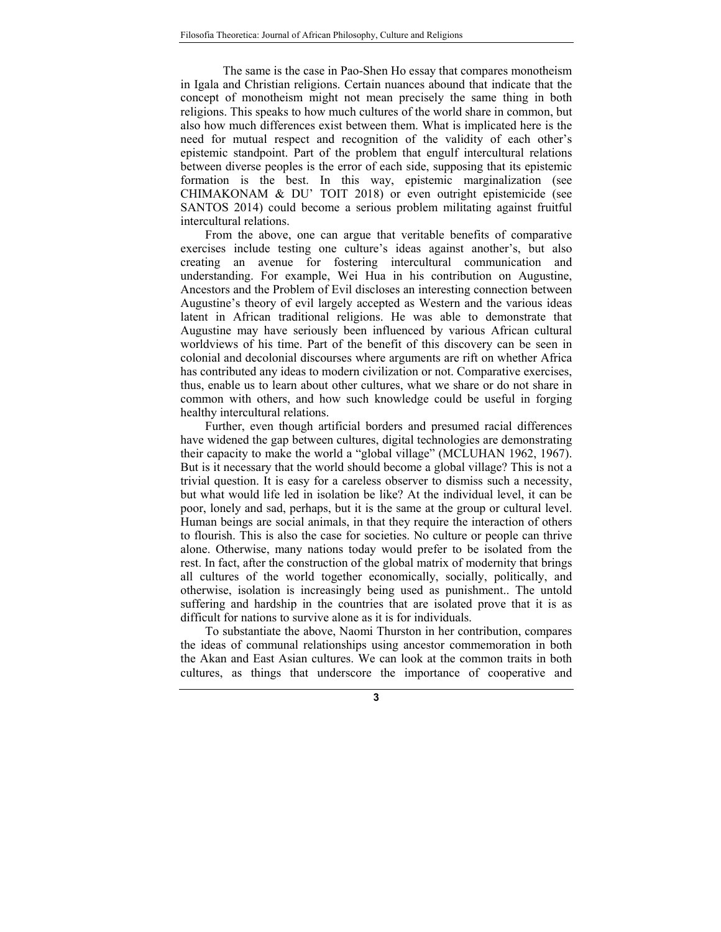The same is the case in Pao-Shen Ho essay that compares monotheism in Igala and Christian religions. Certain nuances abound that indicate that the concept of monotheism might not mean precisely the same thing in both religions. This speaks to how much cultures of the world share in common, but also how much differences exist between them. What is implicated here is the need for mutual respect and recognition of the validity of each other's epistemic standpoint. Part of the problem that engulf intercultural relations between diverse peoples is the error of each side, supposing that its epistemic formation is the best. In this way, epistemic marginalization (see CHIMAKONAM & DU' TOIT 2018) or even outright epistemicide (see SANTOS 2014) could become a serious problem militating against fruitful intercultural relations.

From the above, one can argue that veritable benefits of comparative exercises include testing one culture's ideas against another's, but also creating an avenue for fostering intercultural communication and understanding. For example, Wei Hua in his contribution on Augustine, Ancestors and the Problem of Evil discloses an interesting connection between Augustine's theory of evil largely accepted as Western and the various ideas latent in African traditional religions. He was able to demonstrate that Augustine may have seriously been influenced by various African cultural worldviews of his time. Part of the benefit of this discovery can be seen in colonial and decolonial discourses where arguments are rift on whether Africa has contributed any ideas to modern civilization or not. Comparative exercises, thus, enable us to learn about other cultures, what we share or do not share in common with others, and how such knowledge could be useful in forging healthy intercultural relations.

Further, even though artificial borders and presumed racial differences have widened the gap between cultures, digital technologies are demonstrating their capacity to make the world a "global village" (MCLUHAN 1962, 1967). But is it necessary that the world should become a global village? This is not a trivial question. It is easy for a careless observer to dismiss such a necessity, but what would life led in isolation be like? At the individual level, it can be poor, lonely and sad, perhaps, but it is the same at the group or cultural level. Human beings are social animals, in that they require the interaction of others to flourish. This is also the case for societies. No culture or people can thrive alone. Otherwise, many nations today would prefer to be isolated from the rest. In fact, after the construction of the global matrix of modernity that brings all cultures of the world together economically, socially, politically, and otherwise, isolation is increasingly being used as punishment.. The untold suffering and hardship in the countries that are isolated prove that it is as difficult for nations to survive alone as it is for individuals.

To substantiate the above, Naomi Thurston in her contribution, compares the ideas of communal relationships using ancestor commemoration in both the Akan and East Asian cultures. We can look at the common traits in both cultures, as things that underscore the importance of cooperative and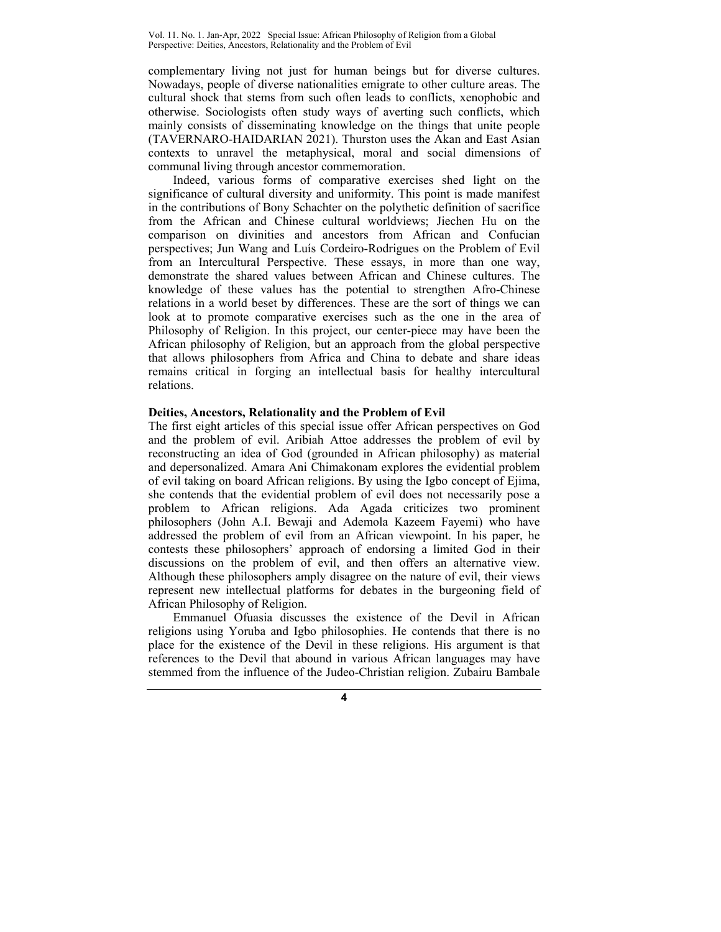complementary living not just for human beings but for diverse cultures. Nowadays, people of diverse nationalities emigrate to other culture areas. The cultural shock that stems from such often leads to conflicts, xenophobic and otherwise. Sociologists often study ways of averting such conflicts, which mainly consists of disseminating knowledge on the things that unite people (TAVERNARO-HAIDARIAN 2021). Thurston uses the Akan and East Asian contexts to unravel the metaphysical, moral and social dimensions of communal living through ancestor commemoration.

Indeed, various forms of comparative exercises shed light on the significance of cultural diversity and uniformity. This point is made manifest in the contributions of Bony Schachter on the polythetic definition of sacrifice from the African and Chinese cultural worldviews; Jiechen Hu on the comparison on divinities and ancestors from African and Confucian perspectives; Jun Wang and Luís Cordeiro-Rodrigues on the Problem of Evil from an Intercultural Perspective. These essays, in more than one way, demonstrate the shared values between African and Chinese cultures. The knowledge of these values has the potential to strengthen Afro-Chinese relations in a world beset by differences. These are the sort of things we can look at to promote comparative exercises such as the one in the area of Philosophy of Religion. In this project, our center-piece may have been the African philosophy of Religion, but an approach from the global perspective that allows philosophers from Africa and China to debate and share ideas remains critical in forging an intellectual basis for healthy intercultural relations.

## **Deities, Ancestors, Relationality and the Problem of Evil**

The first eight articles of this special issue offer African perspectives on God and the problem of evil. Aribiah Attoe addresses the problem of evil by reconstructing an idea of God (grounded in African philosophy) as material and depersonalized. Amara Ani Chimakonam explores the evidential problem of evil taking on board African religions. By using the Igbo concept of Ejima, she contends that the evidential problem of evil does not necessarily pose a problem to African religions. Ada Agada criticizes two prominent philosophers (John A.I. Bewaji and Ademola Kazeem Fayemi) who have addressed the problem of evil from an African viewpoint. In his paper, he contests these philosophers' approach of endorsing a limited God in their discussions on the problem of evil, and then offers an alternative view. Although these philosophers amply disagree on the nature of evil, their views represent new intellectual platforms for debates in the burgeoning field of African Philosophy of Religion.

Emmanuel Ofuasia discusses the existence of the Devil in African religions using Yoruba and Igbo philosophies. He contends that there is no place for the existence of the Devil in these religions. His argument is that references to the Devil that abound in various African languages may have stemmed from the influence of the Judeo-Christian religion. Zubairu Bambale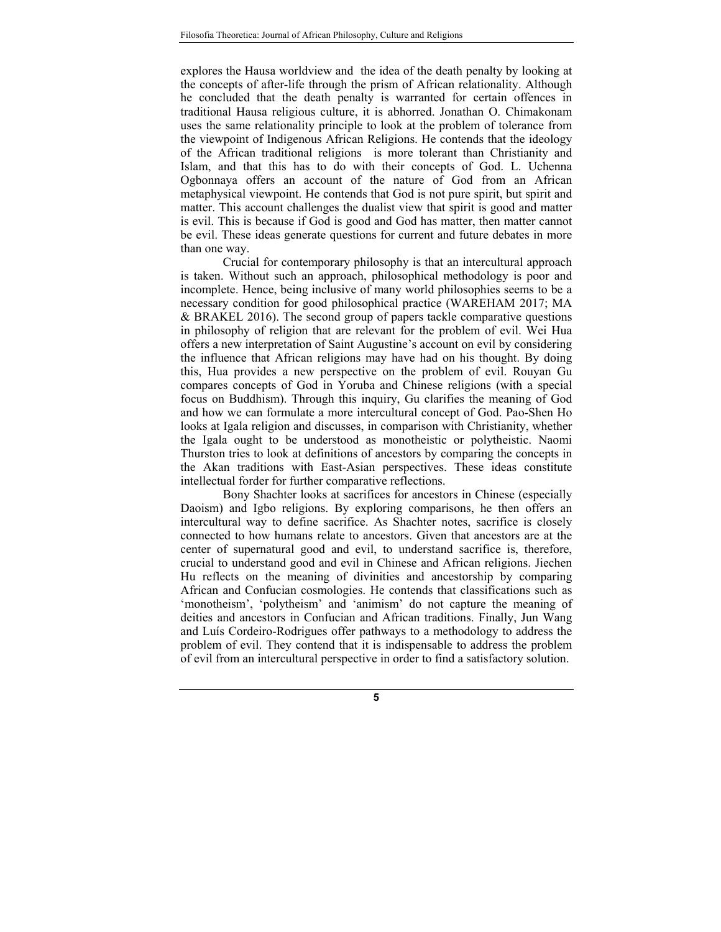explores the Hausa worldview and the idea of the death penalty by looking at the concepts of after-life through the prism of African relationality. Although he concluded that the death penalty is warranted for certain offences in traditional Hausa religious culture, it is abhorred. Jonathan O. Chimakonam uses the same relationality principle to look at the problem of tolerance from the viewpoint of Indigenous African Religions. He contends that the ideology of the African traditional religions is more tolerant than Christianity and Islam, and that this has to do with their concepts of God. L. Uchenna Ogbonnaya offers an account of the nature of God from an African metaphysical viewpoint. He contends that God is not pure spirit, but spirit and matter. This account challenges the dualist view that spirit is good and matter is evil. This is because if God is good and God has matter, then matter cannot be evil. These ideas generate questions for current and future debates in more than one way.

Crucial for contemporary philosophy is that an intercultural approach is taken. Without such an approach, philosophical methodology is poor and incomplete. Hence, being inclusive of many world philosophies seems to be a necessary condition for good philosophical practice (WAREHAM 2017; MA & BRAKEL 2016). The second group of papers tackle comparative questions in philosophy of religion that are relevant for the problem of evil. Wei Hua offers a new interpretation of Saint Augustine's account on evil by considering the influence that African religions may have had on his thought. By doing this, Hua provides a new perspective on the problem of evil. Rouyan Gu compares concepts of God in Yoruba and Chinese religions (with a special focus on Buddhism). Through this inquiry, Gu clarifies the meaning of God and how we can formulate a more intercultural concept of God. Pao-Shen Ho looks at Igala religion and discusses, in comparison with Christianity, whether the Igala ought to be understood as monotheistic or polytheistic. Naomi Thurston tries to look at definitions of ancestors by comparing the concepts in the Akan traditions with East-Asian perspectives. These ideas constitute intellectual forder for further comparative reflections.

Bony Shachter looks at sacrifices for ancestors in Chinese (especially Daoism) and Igbo religions. By exploring comparisons, he then offers an intercultural way to define sacrifice. As Shachter notes, sacrifice is closely connected to how humans relate to ancestors. Given that ancestors are at the center of supernatural good and evil, to understand sacrifice is, therefore, crucial to understand good and evil in Chinese and African religions. Jiechen Hu reflects on the meaning of divinities and ancestorship by comparing African and Confucian cosmologies. He contends that classifications such as 'monotheism', 'polytheism' and 'animism' do not capture the meaning of deities and ancestors in Confucian and African traditions. Finally, Jun Wang and Luís Cordeiro-Rodrigues offer pathways to a methodology to address the problem of evil. They contend that it is indispensable to address the problem of evil from an intercultural perspective in order to find a satisfactory solution.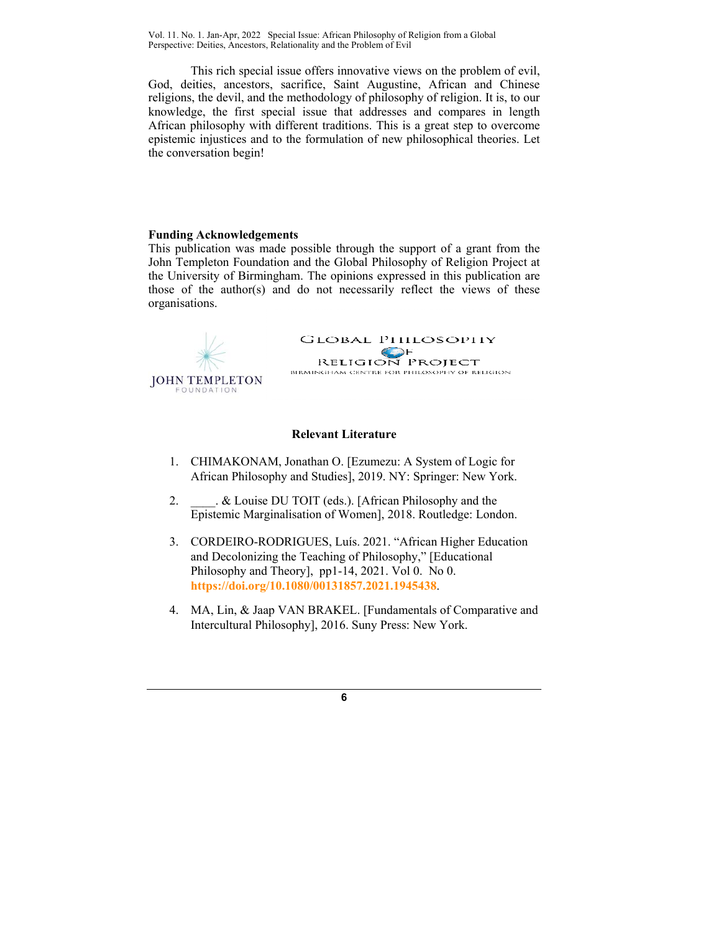This rich special issue offers innovative views on the problem of evil, God, deities, ancestors, sacrifice, Saint Augustine, African and Chinese religions, the devil, and the methodology of philosophy of religion. It is, to our knowledge, the first special issue that addresses and compares in length African philosophy with different traditions. This is a great step to overcome epistemic injustices and to the formulation of new philosophical theories. Let the conversation begin!

## **Funding Acknowledgements**

This publication was made possible through the support of a grant from the John Templeton Foundation and the Global Philosophy of Religion Project at the University of Birmingham. The opinions expressed in this publication are those of the author(s) and do not necessarily reflect the views of these organisations.



#### **Relevant Literature**

- 1. CHIMAKONAM, Jonathan O. [Ezumezu: A System of Logic for African Philosophy and Studies], 2019. NY: Springer: New York.
- 2.  $\&$  Louise DU TOIT (eds.). [African Philosophy and the Epistemic Marginalisation of Women], 2018. Routledge: London.
- 3. CORDEIRO-RODRIGUES, Luís. 2021. "African Higher Education and Decolonizing the Teaching of Philosophy," [Educational Philosophy and Theory], pp1-14, 2021. Vol 0. No 0. **https://doi.org/10.1080/00131857.2021.1945438**.
- 4. MA, Lin, & Jaap VAN BRAKEL. [Fundamentals of Comparative and Intercultural Philosophy], 2016. Suny Press: New York.